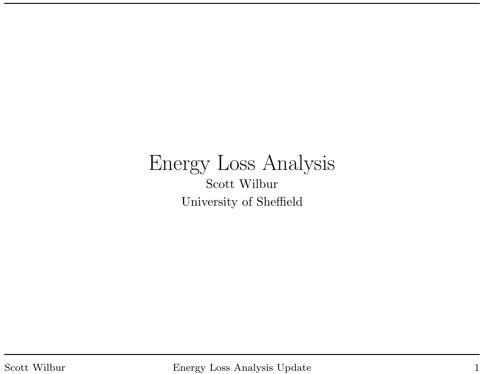#### Energy Loss Analysis Scott Wilbur University of Sheffield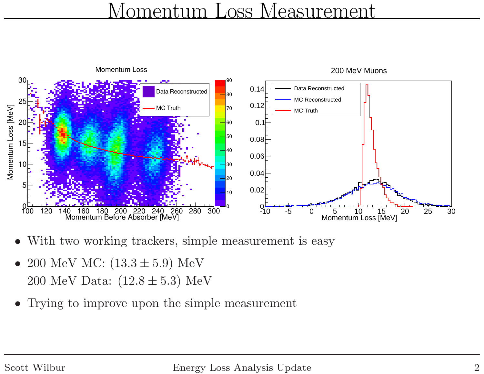#### Momentum Loss Measurement



- •With two working trackers, simple measurement is easy
- $\bullet$ • 200 MeV MC:  $(13.3 \pm 5.9)$  MeV  $200 \,\, \mathrm{MeV}$  Data:  $(12.8 \pm 5.3) \,\, \mathrm{MeV}$
- •Trying to improve upon the simple measurement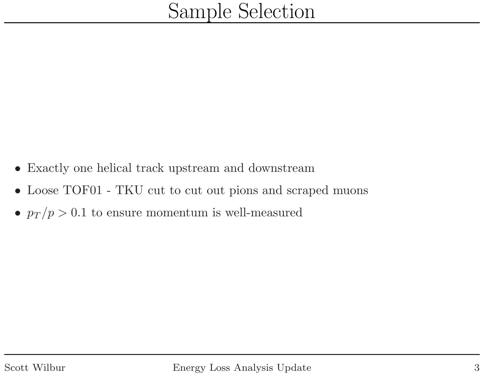- $\bullet$ Exactly one helical track upstream and downstream
- $\bullet$ Loose TOF01 - TKU cut to cut out <sup>p</sup>ions and scraped muons
- $p_T / p > 0.1$  to ensure momentum is well-measured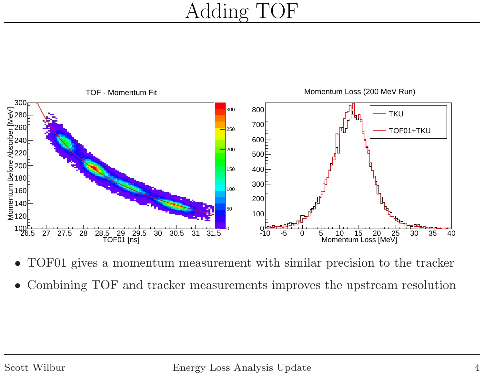# Adding TOF



- •TOF01 <sup>g</sup>ives <sup>a</sup> momentum measurement with similar precision to the tracker
- •Combining TOF and tracker measurements improves the upstream resolution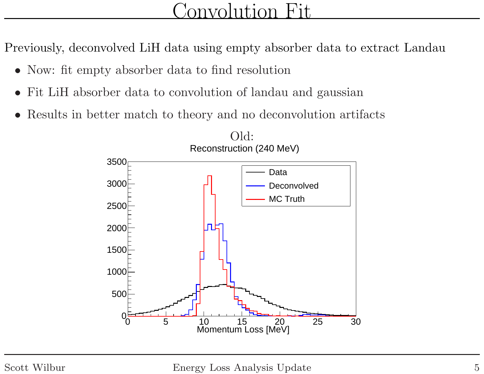### Convolution Fit

Previously, deconvolved LiH data using empty absorber data to extract Landau

- Now: fit empty absorber data to find resolution
- $\bullet$ Fit LiH absorber data to convolution of landau and gaussian
- $\bullet$ Results in better match to theory and no deconvolution artifacts

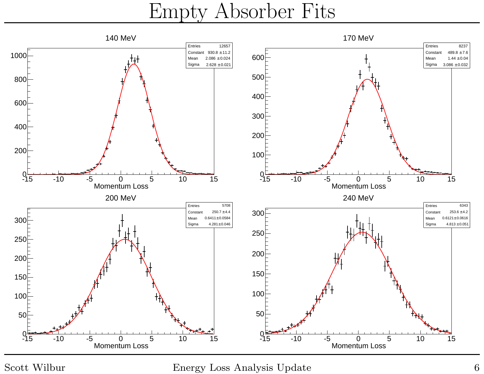Empty Absorber Fits



Scott Wilbur Energy Loss Analysis Update <sup>6</sup>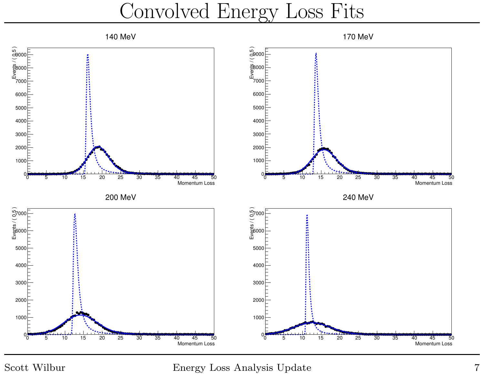Convolved Energy Loss Fits



Scott Wilbur **Energy Loss Analysis Update** 7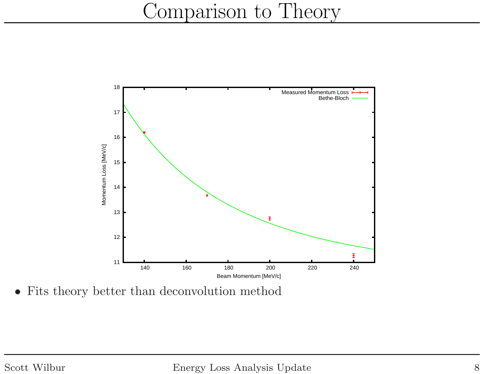# Comparison to Theory



• Fits theory better than deconvolution method